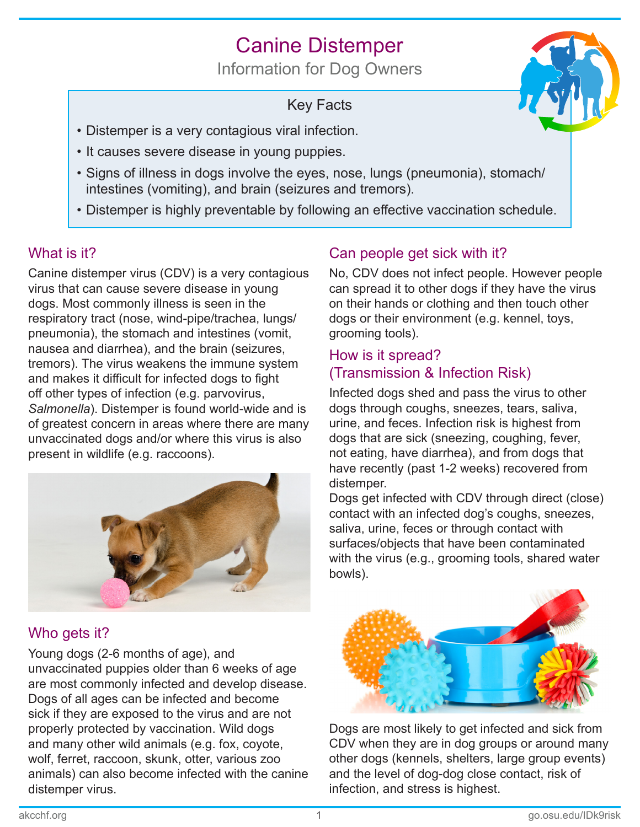# Canine Distemper

Information for Dog Owners

## Key Facts



- Distemper is a very contagious viral infection.
- It causes severe disease in young puppies.
- Signs of illness in dogs involve the eyes, nose, lungs (pneumonia), stomach/ intestines (vomiting), and brain (seizures and tremors).
- Distemper is highly preventable by following an effective vaccination schedule.

## What is it?

Canine distemper virus (CDV) is a very contagious virus that can cause severe disease in young dogs. Most commonly illness is seen in the respiratory tract (nose, wind-pipe/trachea, lungs/ pneumonia), the stomach and intestines (vomit, nausea and diarrhea), and the brain (seizures, tremors). The virus weakens the immune system and makes it difficult for infected dogs to fight off other types of infection (e.g. parvovirus, *Salmonella*). Distemper is found world-wide and is of greatest concern in areas where there are many unvaccinated dogs and/or where this virus is also present in wildlife (e.g. raccoons).



## Who gets it?

Young dogs (2-6 months of age), and unvaccinated puppies older than 6 weeks of age are most commonly infected and develop disease. Dogs of all ages can be infected and become sick if they are exposed to the virus and are not properly protected by vaccination. Wild dogs and many other wild animals (e.g. fox, coyote, wolf, ferret, raccoon, skunk, otter, various zoo animals) can also become infected with the canine distemper virus.

## Can people get sick with it?

No, CDV does not infect people. However people can spread it to other dogs if they have the virus on their hands or clothing and then touch other dogs or their environment (e.g. kennel, toys, grooming tools).

#### How is it spread? (Transmission & Infection Risk)

Infected dogs shed and pass the virus to other dogs through coughs, sneezes, tears, saliva, urine, and feces. Infection risk is highest from dogs that are sick (sneezing, coughing, fever, not eating, have diarrhea), and from dogs that have recently (past 1-2 weeks) recovered from distemper.

Dogs get infected with CDV through direct (close) contact with an infected dog's coughs, sneezes, saliva, urine, feces or through contact with surfaces/objects that have been contaminated with the virus (e.g., grooming tools, shared water bowls).



Dogs are most likely to get infected and sick from CDV when they are in dog groups or around many other dogs (kennels, shelters, large group events) and the level of dog-dog close contact, risk of infection, and stress is highest.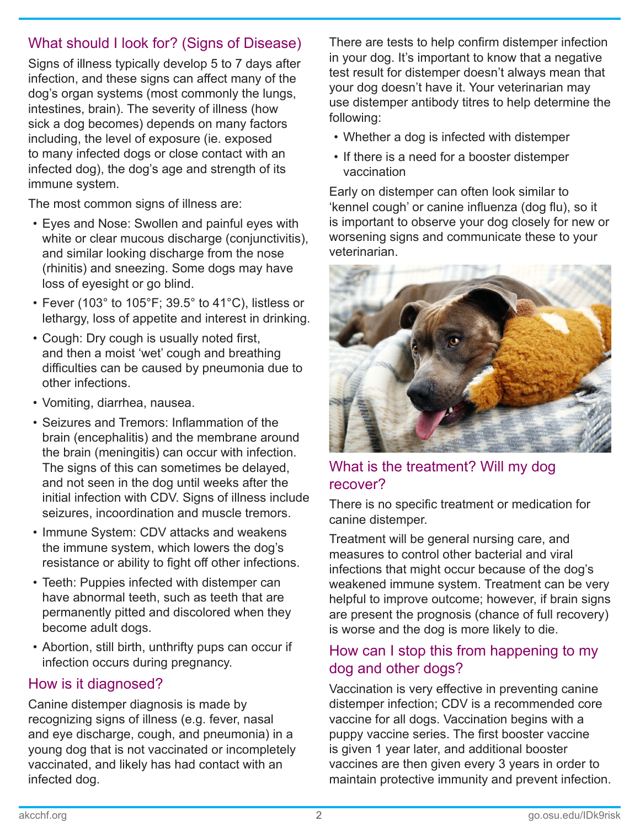### What should I look for? (Signs of Disease)

Signs of illness typically develop 5 to 7 days after infection, and these signs can affect many of the dog's organ systems (most commonly the lungs, intestines, brain). The severity of illness (how sick a dog becomes) depends on many factors including, the level of exposure (ie. exposed to many infected dogs or close contact with an infected dog), the dog's age and strength of its immune system.

The most common signs of illness are:

- Eyes and Nose: Swollen and painful eyes with white or clear mucous discharge (conjunctivitis), and similar looking discharge from the nose (rhinitis) and sneezing. Some dogs may have loss of eyesight or go blind.
- Fever (103° to 105°F; 39.5° to 41°C), listless or lethargy, loss of appetite and interest in drinking.
- Cough: Dry cough is usually noted first, and then a moist 'wet' cough and breathing difficulties can be caused by pneumonia due to other infections.
- Vomiting, diarrhea, nausea.
- Seizures and Tremors: Inflammation of the brain (encephalitis) and the membrane around the brain (meningitis) can occur with infection. The signs of this can sometimes be delayed, and not seen in the dog until weeks after the initial infection with CDV. Signs of illness include seizures, incoordination and muscle tremors.
- Immune System: CDV attacks and weakens the immune system, which lowers the dog's resistance or ability to fight off other infections.
- Teeth: Puppies infected with distemper can have abnormal teeth, such as teeth that are permanently pitted and discolored when they become adult dogs.
- Abortion, still birth, unthrifty pups can occur if infection occurs during pregnancy.

#### How is it diagnosed?

Canine distemper diagnosis is made by recognizing signs of illness (e.g. fever, nasal and eye discharge, cough, and pneumonia) in a young dog that is not vaccinated or incompletely vaccinated, and likely has had contact with an infected dog.

There are tests to help confirm distemper infection in your dog. It's important to know that a negative test result for distemper doesn't always mean that your dog doesn't have it. Your veterinarian may use distemper antibody titres to help determine the following:

- Whether a dog is infected with distemper
- If there is a need for a booster distemper vaccination

Early on distemper can often look similar to 'kennel cough' or canine influenza (dog flu), so it is important to observe your dog closely for new or worsening signs and communicate these to your veterinarian.



What is the treatment? Will my dog recover?

There is no specific treatment or medication for canine distemper.

Treatment will be general nursing care, and measures to control other bacterial and viral infections that might occur because of the dog's weakened immune system. Treatment can be very helpful to improve outcome; however, if brain signs are present the prognosis (chance of full recovery) is worse and the dog is more likely to die.

#### How can I stop this from happening to my dog and other dogs?

Vaccination is very effective in preventing canine distemper infection; CDV is a recommended core vaccine for all dogs. Vaccination begins with a puppy vaccine series. The first booster vaccine is given 1 year later, and additional booster vaccines are then given every 3 years in order to maintain protective immunity and prevent infection.